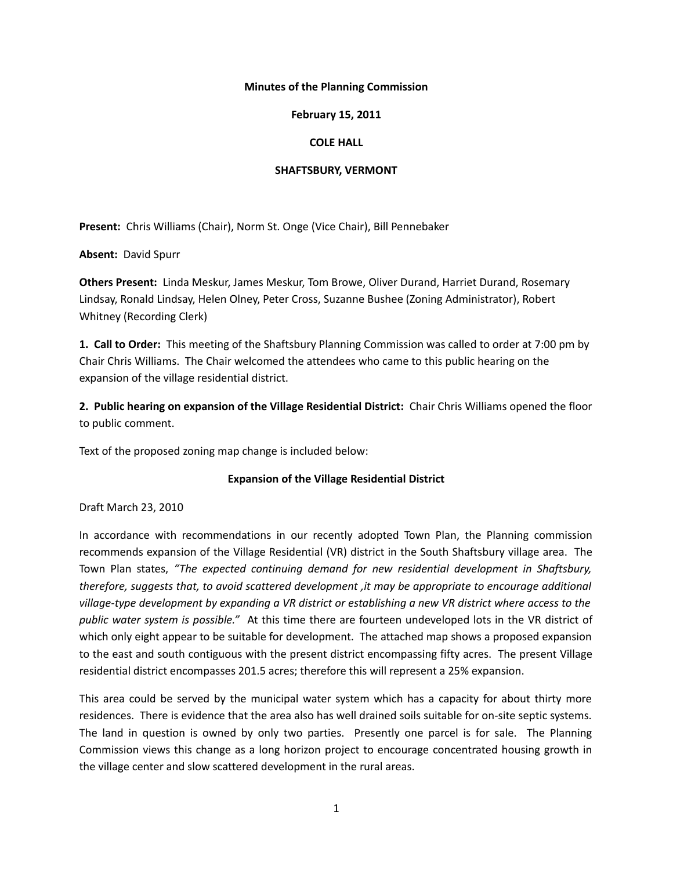#### **Minutes of the Planning Commission**

## **February 15, 2011**

## **COLE HALL**

#### **SHAFTSBURY, VERMONT**

**Present:** Chris Williams (Chair), Norm St. Onge (Vice Chair), Bill Pennebaker

**Absent:** David Spurr

**Others Present:** Linda Meskur, James Meskur, Tom Browe, Oliver Durand, Harriet Durand, Rosemary Lindsay, Ronald Lindsay, Helen Olney, Peter Cross, Suzanne Bushee (Zoning Administrator), Robert Whitney (Recording Clerk)

**1. Call to Order:** This meeting of the Shaftsbury Planning Commission was called to order at 7:00 pm by Chair Chris Williams. The Chair welcomed the attendees who came to this public hearing on the expansion of the village residential district.

**2. Public hearing on expansion of the Village Residential District:** Chair Chris Williams opened the floor to public comment.

Text of the proposed zoning map change is included below:

# **Expansion of the Village Residential District**

Draft March 23, 2010

In accordance with recommendations in our recently adopted Town Plan, the Planning commission recommends expansion of the Village Residential (VR) district in the South Shaftsbury village area. The Town Plan states, *"The expected continuing demand for new residential development in Shaftsbury, therefore, suggests that, to avoid scattered development ,it may be appropriate to encourage additional village-type development by expanding a VR district or establishing a new VR district where access to the public water system is possible."* At this time there are fourteen undeveloped lots in the VR district of which only eight appear to be suitable for development. The attached map shows a proposed expansion to the east and south contiguous with the present district encompassing fifty acres. The present Village residential district encompasses 201.5 acres; therefore this will represent a 25% expansion.

This area could be served by the municipal water system which has a capacity for about thirty more residences. There is evidence that the area also has well drained soils suitable for on-site septic systems. The land in question is owned by only two parties. Presently one parcel is for sale. The Planning Commission views this change as a long horizon project to encourage concentrated housing growth in the village center and slow scattered development in the rural areas.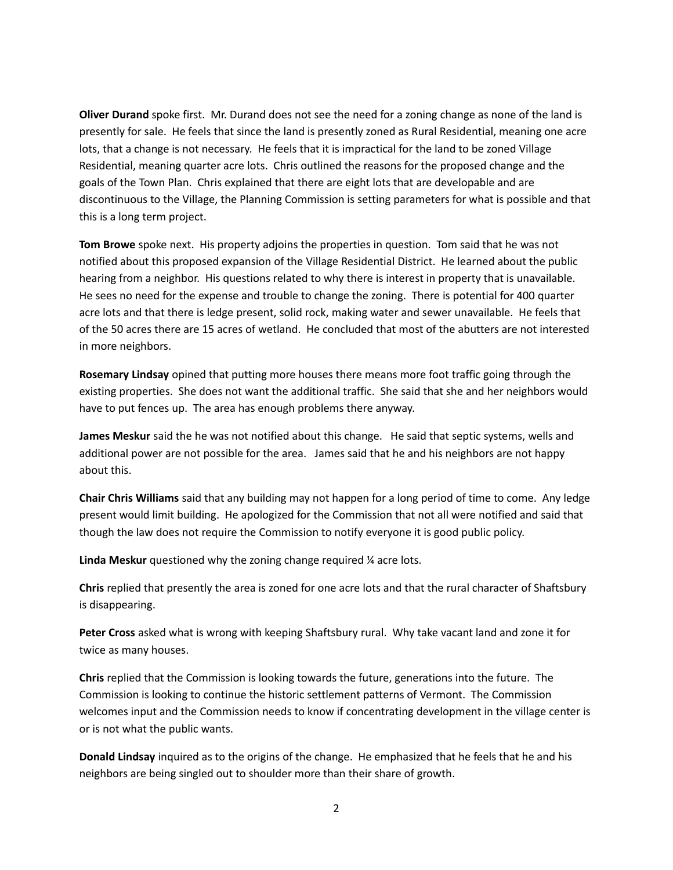**Oliver Durand** spoke first. Mr. Durand does not see the need for a zoning change as none of the land is presently for sale. He feels that since the land is presently zoned as Rural Residential, meaning one acre lots, that a change is not necessary. He feels that it is impractical for the land to be zoned Village Residential, meaning quarter acre lots. Chris outlined the reasons for the proposed change and the goals of the Town Plan. Chris explained that there are eight lots that are developable and are discontinuous to the Village, the Planning Commission is setting parameters for what is possible and that this is a long term project.

**Tom Browe** spoke next. His property adjoins the properties in question. Tom said that he was not notified about this proposed expansion of the Village Residential District. He learned about the public hearing from a neighbor. His questions related to why there is interest in property that is unavailable. He sees no need for the expense and trouble to change the zoning. There is potential for 400 quarter acre lots and that there is ledge present, solid rock, making water and sewer unavailable. He feels that of the 50 acres there are 15 acres of wetland. He concluded that most of the abutters are not interested in more neighbors.

**Rosemary Lindsay** opined that putting more houses there means more foot traffic going through the existing properties. She does not want the additional traffic. She said that she and her neighbors would have to put fences up. The area has enough problems there anyway.

**James Meskur** said the he was not notified about this change. He said that septic systems, wells and additional power are not possible for the area. James said that he and his neighbors are not happy about this.

**Chair Chris Williams** said that any building may not happen for a long period of time to come. Any ledge present would limit building. He apologized for the Commission that not all were notified and said that though the law does not require the Commission to notify everyone it is good public policy.

**Linda Meskur** questioned why the zoning change required ¼ acre lots.

**Chris** replied that presently the area is zoned for one acre lots and that the rural character of Shaftsbury is disappearing.

**Peter Cross** asked what is wrong with keeping Shaftsbury rural. Why take vacant land and zone it for twice as many houses.

**Chris** replied that the Commission is looking towards the future, generations into the future. The Commission is looking to continue the historic settlement patterns of Vermont. The Commission welcomes input and the Commission needs to know if concentrating development in the village center is or is not what the public wants.

**Donald Lindsay** inquired as to the origins of the change. He emphasized that he feels that he and his neighbors are being singled out to shoulder more than their share of growth.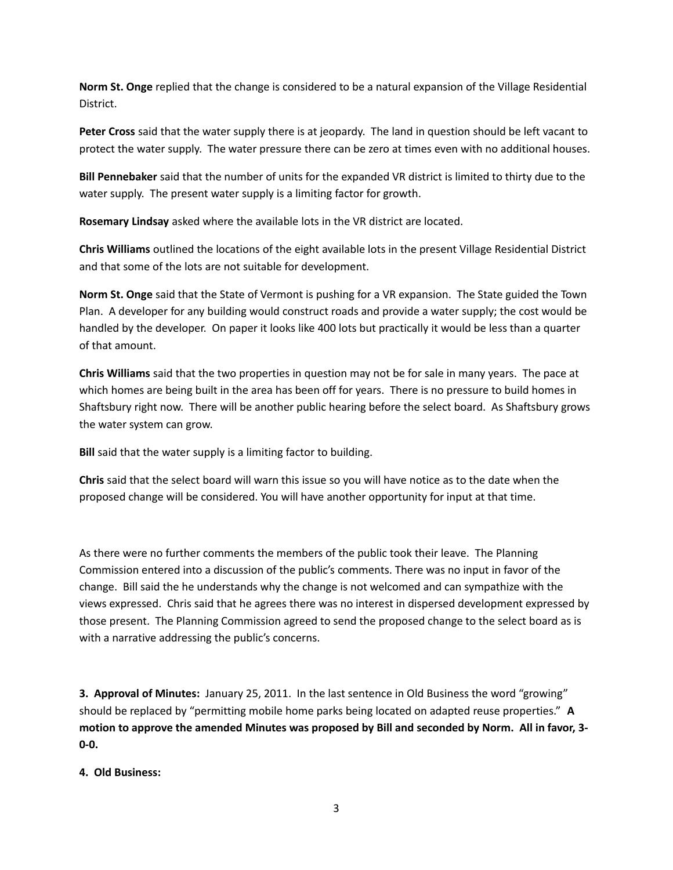**Norm St. Onge** replied that the change is considered to be a natural expansion of the Village Residential District.

**Peter Cross** said that the water supply there is at jeopardy. The land in question should be left vacant to protect the water supply. The water pressure there can be zero at times even with no additional houses.

**Bill Pennebaker** said that the number of units for the expanded VR district is limited to thirty due to the water supply. The present water supply is a limiting factor for growth.

**Rosemary Lindsay** asked where the available lots in the VR district are located.

**Chris Williams** outlined the locations of the eight available lots in the present Village Residential District and that some of the lots are not suitable for development.

**Norm St. Onge** said that the State of Vermont is pushing for a VR expansion. The State guided the Town Plan. A developer for any building would construct roads and provide a water supply; the cost would be handled by the developer. On paper it looks like 400 lots but practically it would be less than a quarter of that amount.

**Chris Williams** said that the two properties in question may not be for sale in many years. The pace at which homes are being built in the area has been off for years. There is no pressure to build homes in Shaftsbury right now. There will be another public hearing before the select board. As Shaftsbury grows the water system can grow.

**Bill** said that the water supply is a limiting factor to building.

**Chris** said that the select board will warn this issue so you will have notice as to the date when the proposed change will be considered. You will have another opportunity for input at that time.

As there were no further comments the members of the public took their leave. The Planning Commission entered into a discussion of the public's comments. There was no input in favor of the change. Bill said the he understands why the change is not welcomed and can sympathize with the views expressed. Chris said that he agrees there was no interest in dispersed development expressed by those present. The Planning Commission agreed to send the proposed change to the select board as is with a narrative addressing the public's concerns.

**3. Approval of Minutes:** January 25, 2011. In the last sentence in Old Business the word "growing" should be replaced by "permitting mobile home parks being located on adapted reuse properties." **A motion to approve the amended Minutes was proposed by Bill and seconded by Norm. All in favor, 3- 0-0.**

**4. Old Business:**